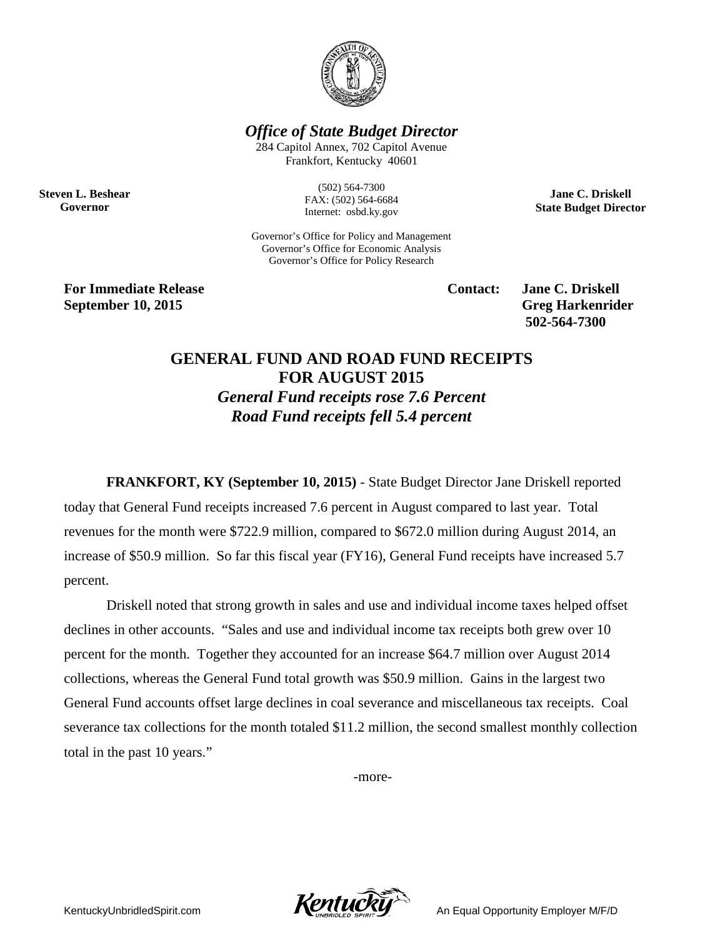

*Office of State Budget Director*

284 Capitol Annex, 702 Capitol Avenue Frankfort, Kentucky 40601

**Steven L. Beshear Governor**

(502) 564-7300 FAX: (502) 564-6684 Internet: osbd.ky.gov

Governor's Office for Policy and Management Governor's Office for Economic Analysis Governor's Office for Policy Research

**For Immediate Release Contact: Jane C. Driskell September 10, 2015** Greg Harkenrider

**502-564-7300** 

**Jane C. Driskell State Budget Director**

## **GENERAL FUND AND ROAD FUND RECEIPTS FOR AUGUST 2015** *General Fund receipts rose 7.6 Percent Road Fund receipts fell 5.4 percent*

**FRANKFORT, KY (September 10, 2015)** - State Budget Director Jane Driskell reported today that General Fund receipts increased 7.6 percent in August compared to last year. Total revenues for the month were \$722.9 million, compared to \$672.0 million during August 2014, an increase of \$50.9 million. So far this fiscal year (FY16), General Fund receipts have increased 5.7 percent.

Driskell noted that strong growth in sales and use and individual income taxes helped offset declines in other accounts. "Sales and use and individual income tax receipts both grew over 10 percent for the month. Together they accounted for an increase \$64.7 million over August 2014 collections, whereas the General Fund total growth was \$50.9 million. Gains in the largest two General Fund accounts offset large declines in coal severance and miscellaneous tax receipts. Coal severance tax collections for the month totaled \$11.2 million, the second smallest monthly collection total in the past 10 years."

-more-



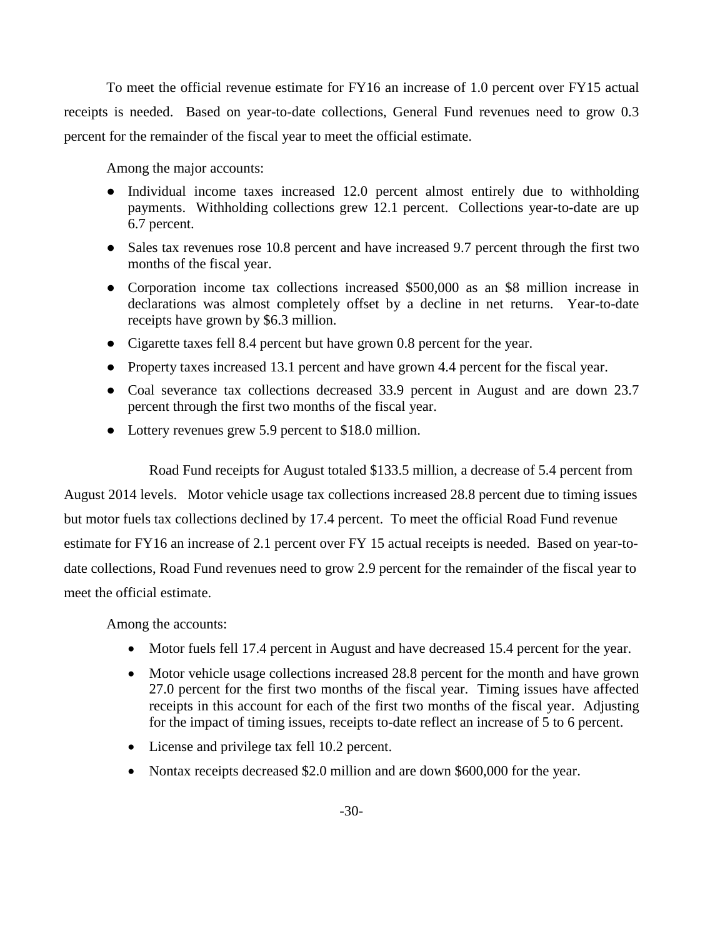To meet the official revenue estimate for FY16 an increase of 1.0 percent over FY15 actual receipts is needed. Based on year-to-date collections, General Fund revenues need to grow 0.3 percent for the remainder of the fiscal year to meet the official estimate.

Among the major accounts:

- Individual income taxes increased 12.0 percent almost entirely due to withholding payments. Withholding collections grew 12.1 percent. Collections year-to-date are up 6.7 percent.
- Sales tax revenues rose 10.8 percent and have increased 9.7 percent through the first two months of the fiscal year.
- Corporation income tax collections increased \$500,000 as an \$8 million increase in declarations was almost completely offset by a decline in net returns. Year-to-date receipts have grown by \$6.3 million.
- Cigarette taxes fell 8.4 percent but have grown 0.8 percent for the year.
- Property taxes increased 13.1 percent and have grown 4.4 percent for the fiscal year.
- Coal severance tax collections decreased 33.9 percent in August and are down 23.7 percent through the first two months of the fiscal year.
- Lottery revenues grew 5.9 percent to \$18.0 million.

Road Fund receipts for August totaled \$133.5 million, a decrease of 5.4 percent from

August 2014 levels. Motor vehicle usage tax collections increased 28.8 percent due to timing issues but motor fuels tax collections declined by 17.4 percent. To meet the official Road Fund revenue estimate for FY16 an increase of 2.1 percent over FY 15 actual receipts is needed. Based on year-todate collections, Road Fund revenues need to grow 2.9 percent for the remainder of the fiscal year to meet the official estimate.

Among the accounts:

- Motor fuels fell 17.4 percent in August and have decreased 15.4 percent for the year.
- Motor vehicle usage collections increased 28.8 percent for the month and have grown 27.0 percent for the first two months of the fiscal year. Timing issues have affected receipts in this account for each of the first two months of the fiscal year. Adjusting for the impact of timing issues, receipts to-date reflect an increase of 5 to 6 percent.
- License and privilege tax fell 10.2 percent.
- Nontax receipts decreased \$2.0 million and are down \$600,000 for the year.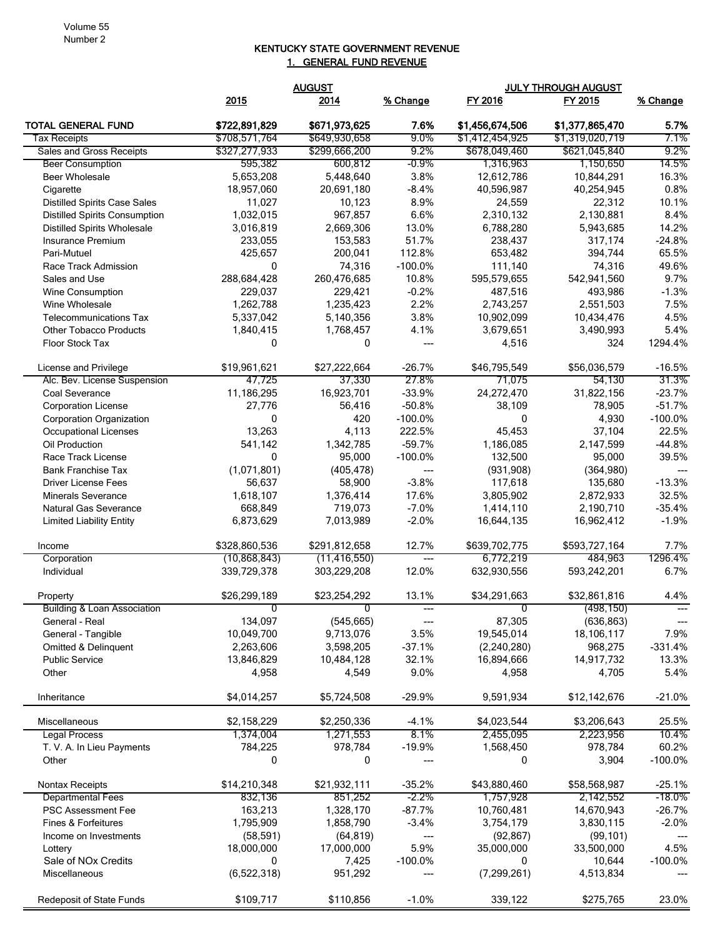## KENTUCKY STATE GOVERNMENT REVENUE 1. GENERAL FUND REVENUE

|                                           |                     | <b>AUGUST</b>          |                    |                        | <b>JULY THROUGH AUGUST</b> |                    |
|-------------------------------------------|---------------------|------------------------|--------------------|------------------------|----------------------------|--------------------|
|                                           | 2015                | 2014                   | % Change           | FY 2016                | FY 2015                    | % Change           |
| <b>TOTAL GENERAL FUND</b>                 | \$722,891,829       | \$671,973,625          | 7.6%               | \$1,456,674,506        | \$1,377,865,470            | 5.7%               |
| <b>Tax Receipts</b>                       | \$708,571,764       | \$649,930,658          | $9.0\%$            | \$1,412,454,925        | \$1,319,020,719            | 7.1%               |
| Sales and Gross Receipts                  | \$327,277,933       | \$299,666,200          | 9.2%               | \$678,049,460          | \$621,045,840              | 9.2%               |
| <b>Beer Consumption</b>                   | 595,382             | 600,812                | $-0.9\%$           | 1,316,963              | 1,150,650                  | 14.5%              |
| <b>Beer Wholesale</b>                     | 5,653,208           | 5,448,640              | 3.8%               | 12,612,786             | 10,844,291                 | 16.3%              |
| Cigarette                                 | 18,957,060          | 20.691.180             | $-8.4%$            | 40,596,987             | 40,254,945                 | 0.8%               |
| <b>Distilled Spirits Case Sales</b>       | 11,027              | 10,123                 | 8.9%               | 24,559                 | 22,312                     | 10.1%              |
| <b>Distilled Spirits Consumption</b>      | 1,032,015           | 967,857                | 6.6%               | 2,310,132              | 2,130,881                  | 8.4%               |
| <b>Distilled Spirits Wholesale</b>        | 3,016,819           | 2,669,306              | 13.0%              | 6,788,280              | 5,943,685                  | 14.2%              |
| Insurance Premium                         | 233,055             | 153,583                | 51.7%              | 238,437                | 317,174                    | $-24.8%$           |
| Pari-Mutuel                               | 425,657             | 200,041                | 112.8%             | 653,482                | 394,744                    | 65.5%              |
| Race Track Admission<br>Sales and Use     | 0<br>288,684,428    | 74,316<br>260,476,685  | $-100.0%$<br>10.8% | 111,140                | 74,316<br>542,941,560      | 49.6%<br>9.7%      |
|                                           | 229,037             | 229,421                | $-0.2%$            | 595,579,655<br>487,516 | 493,986                    | $-1.3%$            |
| <b>Wine Consumption</b><br>Wine Wholesale | 1,262,788           |                        | 2.2%               | 2,743,257              |                            | 7.5%               |
| <b>Telecommunications Tax</b>             | 5,337,042           | 1,235,423<br>5,140,356 | 3.8%               | 10,902,099             | 2,551,503<br>10,434,476    | 4.5%               |
| <b>Other Tobacco Products</b>             | 1,840,415           | 1,768,457              | 4.1%               | 3,679,651              | 3,490,993                  | 5.4%               |
| <b>Floor Stock Tax</b>                    | 0                   | 0                      | ---                | 4,516                  | 324                        | 1294.4%            |
|                                           |                     |                        |                    |                        |                            |                    |
| License and Privilege                     | \$19,961,621        | \$27,222,664           | $-26.7%$           | \$46,795,549           | \$56,036,579               | $-16.5%$           |
| Alc. Bev. License Suspension              | 47,725              | 37,330                 | 27.8%              | 71,075                 | 54,130                     | 31.3%              |
| Coal Severance                            | 11,186,295          | 16,923,701             | $-33.9%$           | 24,272,470             | 31,822,156                 | $-23.7%$           |
| <b>Corporation License</b>                | 27,776              | 56.416                 | $-50.8%$           | 38,109                 | 78,905                     | $-51.7%$           |
| <b>Corporation Organization</b>           | 0                   | 420                    | $-100.0%$          | 0                      | 4,930                      | $-100.0%$          |
| <b>Occupational Licenses</b>              | 13,263              | 4,113                  | 222.5%             | 45,453                 | 37,104                     | 22.5%              |
| Oil Production                            | 541,142             | 1,342,785              | $-59.7%$           | 1,186,085              | 2,147,599                  | $-44.8%$           |
| Race Track License                        | $\mathbf{0}$        | 95,000                 | $-100.0%$          | 132,500                | 95,000                     | 39.5%              |
| <b>Bank Franchise Tax</b>                 | (1,071,801)         | (405, 478)             | ---                | (931, 908)             | (364,980)                  |                    |
| <b>Driver License Fees</b>                | 56,637              | 58,900                 | $-3.8%$            | 117,618                | 135,680                    | $-13.3%$           |
| <b>Minerals Severance</b>                 | 1,618,107           | 1,376,414              | 17.6%              | 3,805,902              | 2,872,933                  | 32.5%              |
| Natural Gas Severance                     | 668,849             | 719,073                | $-7.0%$            | 1,414,110              | 2,190,710                  | $-35.4%$           |
| <b>Limited Liability Entity</b>           | 6,873,629           | 7,013,989              | $-2.0%$            | 16,644,135             | 16,962,412                 | $-1.9%$            |
| Income                                    | \$328,860,536       | \$291,812,658          | 12.7%              | \$639,702,775          | \$593,727,164              | 7.7%               |
| Corporation                               | (10, 868, 843)      | (11, 416, 550)         | $---$              | 6,772,219              | 484,963                    | 1296.4%            |
| Individual                                | 339,729,378         | 303,229,208            | 12.0%              | 632,930,556            | 593,242,201                | 6.7%               |
| Property                                  | \$26,299,189        | \$23,254,292           | 13.1%              | \$34,291,663           | \$32,861,816               | 4.4%               |
| <b>Building &amp; Loan Association</b>    | 0                   | $\overline{0}$         | $---$              | $\overline{0}$         | (498, 150)                 | $---$              |
| General - Real                            | 134,097             | (545, 665)             | ---                | 87,305                 | (636, 863)                 | ---                |
| General - Tangible                        | 10,049,700          | 9,713,076              | 3.5%               | 19,545,014             | 18,106,117<br>968,275      | 7.9%               |
| Omitted & Delinquent                      | 2,263,606           | 3,598,205              | $-37.1%$           | (2,240,280)            |                            | $-331.4%$<br>13.3% |
| <b>Public Service</b><br>Other            | 13,846,829<br>4,958 | 10,484,128<br>4,549    | 32.1%<br>9.0%      | 16,894,666<br>4,958    | 14,917,732<br>4,705        | 5.4%               |
|                                           |                     |                        |                    |                        |                            |                    |
| Inheritance                               | \$4,014,257         | \$5,724,508            | $-29.9%$           | 9,591,934              | \$12,142,676               | $-21.0%$           |
| Miscellaneous                             | \$2,158,229         | \$2,250,336            | $-4.1%$            | \$4,023,544            | \$3,206,643                | 25.5%              |
| <b>Legal Process</b>                      | 1,374,004           | 1,271,553              | 8.1%               | 2,455,095              | 2,223,956                  | 10.4%              |
| T. V. A. In Lieu Payments                 | 784,225             | 978,784                | $-19.9%$           | 1,568,450              | 978,784                    | 60.2%              |
| Other                                     | 0                   | 0                      | ---                | 0                      | 3,904                      | $-100.0%$          |
| Nontax Receipts                           | \$14,210,348        | \$21,932,111           | $-35.2%$           | \$43,880,460           | \$58,568,987               | $-25.1%$           |
| <b>Departmental Fees</b>                  | 832,136             | 851,252                | $-2.2\%$           | 1,757,928              | 2,142,552                  | -18.0%             |
| PSC Assessment Fee                        | 163,213             | 1,328,170              | $-87.7%$           | 10,760,481             | 14,670,943                 | $-26.7%$           |
| Fines & Forfeitures                       | 1,795,909           | 1,858,790              | $-3.4%$            | 3,754,179              | 3,830,115                  | $-2.0%$            |
| Income on Investments                     | (58, 591)           | (64, 819)              | ---                | (92, 867)              | (99, 101)                  |                    |
| Lottery                                   | 18,000,000          | 17,000,000             | 5.9%               | 35,000,000             | 33,500,000                 | 4.5%               |
| Sale of NOx Credits                       | 0                   | 7,425                  | $-100.0\%$         | $\mathbf{0}$           | 10,644                     | $-100.0%$          |
| Miscellaneous                             | (6,522,318)         | 951,292                | ---                | (7, 299, 261)          | 4,513,834                  |                    |
| Redeposit of State Funds                  | \$109,717           | \$110,856              | $-1.0%$            | 339,122                | \$275,765                  | 23.0%              |